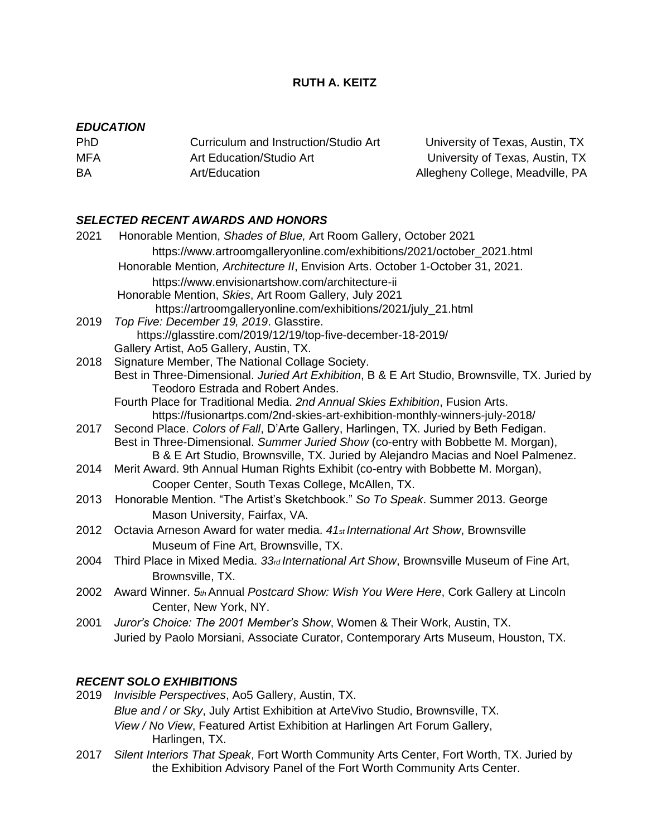## **RUTH A. KEITZ**

### *EDUCATION*

| <b>PhD</b> | Curriculum and Instruction/Studio Art | Univers   |
|------------|---------------------------------------|-----------|
| MFA        | Art Education/Studio Art              | Univers   |
| BA         | Art/Education                         | Allegheny |

Phity of Texas, Austin, TX sity of Texas, Austin, TX y College, Meadville, PA

### *SELECTED RECENT AWARDS AND HONORS*

| 2021 | Honorable Mention, Shades of Blue, Art Room Gallery, October 2021                                                                          |
|------|--------------------------------------------------------------------------------------------------------------------------------------------|
|      | https://www.artroomgalleryonline.com/exhibitions/2021/october_2021.html                                                                    |
|      | Honorable Mention, Architecture II, Envision Arts. October 1-October 31, 2021.                                                             |
|      | https://www.envisionartshow.com/architecture-ii                                                                                            |
|      | Honorable Mention, Skies, Art Room Gallery, July 2021                                                                                      |
|      | https://artroomgalleryonline.com/exhibitions/2021/july_21.html                                                                             |
| 2019 | Top Five: December 19, 2019. Glasstire.                                                                                                    |
|      | https://glasstire.com/2019/12/19/top-five-december-18-2019/                                                                                |
|      | Gallery Artist, Ao5 Gallery, Austin, TX.                                                                                                   |
| 2018 | Signature Member, The National Collage Society.                                                                                            |
|      | Best in Three-Dimensional. Juried Art Exhibition, B & E Art Studio, Brownsville, TX. Juried by<br><b>Teodoro Estrada and Robert Andes.</b> |
|      | Fourth Place for Traditional Media. 2nd Annual Skies Exhibition, Fusion Arts.                                                              |
|      | https://fusionartps.com/2nd-skies-art-exhibition-monthly-winners-july-2018/                                                                |
| 2017 | Second Place. Colors of Fall, D'Arte Gallery, Harlingen, TX. Juried by Beth Fedigan.                                                       |
|      | Best in Three-Dimensional. Summer Juried Show (co-entry with Bobbette M. Morgan),                                                          |
|      | B & E Art Studio, Brownsville, TX. Juried by Alejandro Macias and Noel Palmenez.                                                           |
| 2014 | Merit Award. 9th Annual Human Rights Exhibit (co-entry with Bobbette M. Morgan),                                                           |
|      | Cooper Center, South Texas College, McAllen, TX.                                                                                           |
| 2013 | Honorable Mention. "The Artist's Sketchbook." So To Speak. Summer 2013. George                                                             |
|      | Mason University, Fairfax, VA.                                                                                                             |
| 2012 | Octavia Arneson Award for water media. 41st International Art Show, Brownsville                                                            |
|      | Museum of Fine Art, Brownsville, TX.                                                                                                       |
| 2004 | Third Place in Mixed Media. 33 <sub>rd</sub> International Art Show, Brownsville Museum of Fine Art,                                       |
|      | Brownsville, TX.                                                                                                                           |
| 2002 | Award Winner. 5th Annual Postcard Show: Wish You Were Here, Cork Gallery at Lincoln                                                        |
|      | Center, New York, NY.                                                                                                                      |
| 2001 | Juror's Choice: The 2001 Member's Show, Women & Their Work, Austin, TX.                                                                    |
|      | Juried by Paolo Morsiani, Associate Curator, Contemporary Arts Museum, Houston, TX.                                                        |
|      |                                                                                                                                            |

## *RECENT SOLO EXHIBITIONS*

2019 *Invisible Perspectives*, Ao5 Gallery, Austin, TX. *Blue and / or Sky*, July Artist Exhibition at ArteVivo Studio, Brownsville, TX. *View / No View*, Featured Artist Exhibition at Harlingen Art Forum Gallery, Harlingen, TX.

2017 *Silent Interiors That Speak*, Fort Worth Community Arts Center, Fort Worth, TX. Juried by the Exhibition Advisory Panel of the Fort Worth Community Arts Center.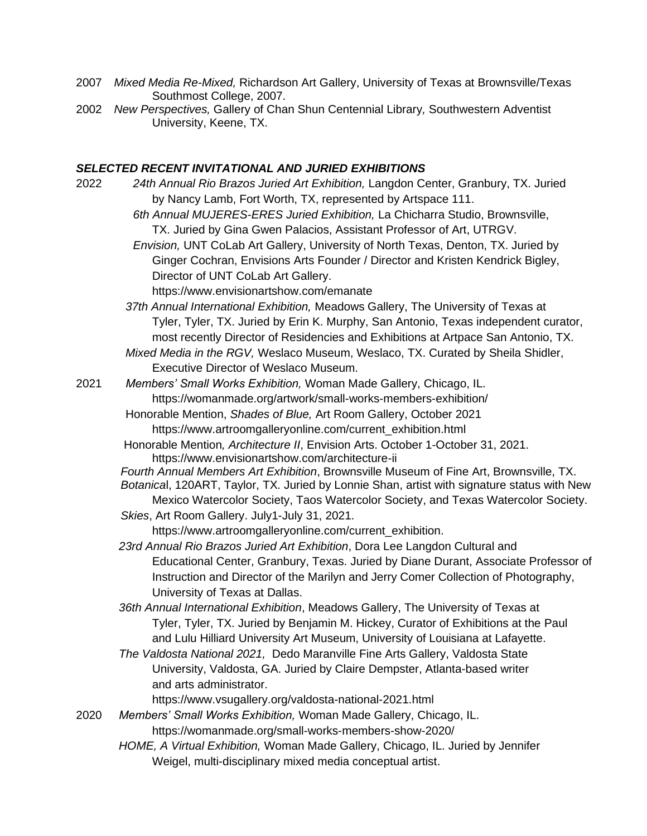- 2007 *Mixed Media Re-Mixed,* Richardson Art Gallery, University of Texas at Brownsville/Texas Southmost College, 2007.
- 2002 *New Perspectives,* Gallery of Chan Shun Centennial Library*,* Southwestern Adventist University, Keene, TX.

## *SELECTED RECENT INVITATIONAL AND JURIED EXHIBITIONS*

| 2022 | 24th Annual Rio Brazos Juried Art Exhibition, Langdon Center, Granbury, TX. Juried          |
|------|---------------------------------------------------------------------------------------------|
|      | by Nancy Lamb, Fort Worth, TX, represented by Artspace 111.                                 |
|      | 6th Annual MUJERES-ERES Juried Exhibition, La Chicharra Studio, Brownsville,                |
|      | TX. Juried by Gina Gwen Palacios, Assistant Professor of Art, UTRGV.                        |
|      | Envision, UNT CoLab Art Gallery, University of North Texas, Denton, TX. Juried by           |
|      | Ginger Cochran, Envisions Arts Founder / Director and Kristen Kendrick Bigley,              |
|      | Director of UNT CoLab Art Gallery.                                                          |
|      | https://www.envisionartshow.com/emanate                                                     |
|      | 37th Annual International Exhibition, Meadows Gallery, The University of Texas at           |
|      | Tyler, Tyler, TX. Juried by Erin K. Murphy, San Antonio, Texas independent curator,         |
|      | most recently Director of Residencies and Exhibitions at Artpace San Antonio, TX.           |
|      | Mixed Media in the RGV, Weslaco Museum, Weslaco, TX. Curated by Sheila Shidler,             |
|      | Executive Director of Weslaco Museum.                                                       |
| 2021 | Members' Small Works Exhibition, Woman Made Gallery, Chicago, IL.                           |
|      | https://womanmade.org/artwork/small-works-members-exhibition/                               |
|      | Honorable Mention, Shades of Blue, Art Room Gallery, October 2021                           |
|      | https://www.artroomgalleryonline.com/current_exhibition.html                                |
|      | Honorable Mention, Architecture II, Envision Arts. October 1-October 31, 2021.              |
|      | https://www.envisionartshow.com/architecture-ii                                             |
|      | Fourth Annual Members Art Exhibition, Brownsville Museum of Fine Art, Brownsville, TX.      |
|      | Botanical, 120ART, Taylor, TX. Juried by Lonnie Shan, artist with signature status with New |
|      | Mexico Watercolor Society, Taos Watercolor Society, and Texas Watercolor Society.           |
|      | Skies, Art Room Gallery. July1-July 31, 2021.                                               |
|      | https://www.artroomgalleryonline.com/current_exhibition.                                    |
|      | 23rd Annual Rio Brazos Juried Art Exhibition, Dora Lee Langdon Cultural and                 |
|      | Educational Center, Granbury, Texas. Juried by Diane Durant, Associate Professor of         |
|      | Instruction and Director of the Marilyn and Jerry Comer Collection of Photography,          |
|      | University of Texas at Dallas.                                                              |
|      | 36th Annual International Exhibition, Meadows Gallery, The University of Texas at           |
|      | Tyler, Tyler, TX. Juried by Benjamin M. Hickey, Curator of Exhibitions at the Paul          |
|      | and Lulu Hilliard University Art Museum, University of Louisiana at Lafayette.              |
|      | The Valdosta National 2021, Dedo Maranville Fine Arts Gallery, Valdosta State               |
|      | University, Valdosta, GA. Juried by Claire Dempster, Atlanta-based writer                   |
|      | and arts administrator.                                                                     |
|      | https://www.vsugallery.org/valdosta-national-2021.html                                      |
| 2020 | Members' Small Works Exhibition, Woman Made Gallery, Chicago, IL.                           |
|      | https://womanmade.org/small-works-members-show-2020/                                        |
|      | HOME, A Virtual Exhibition, Woman Made Gallery, Chicago, IL. Juried by Jennifer             |
|      | Weigel, multi-disciplinary mixed media conceptual artist.                                   |
|      |                                                                                             |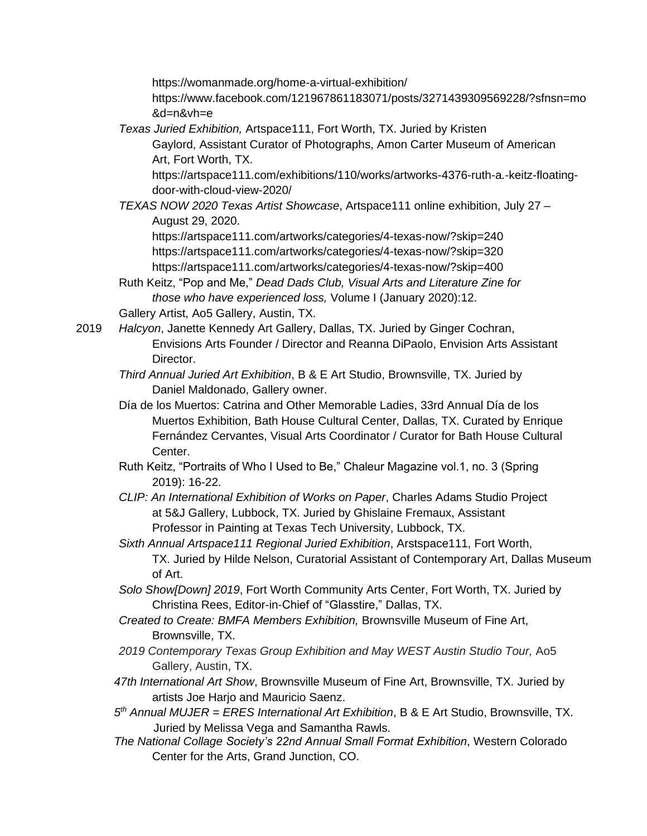<https://womanmade.org/home-a-virtual-exhibition/>

https://www.facebook.com/121967861183071/posts/3271439309569228/?sfnsn=mo &d=n&vh=e

*Texas Juried Exhibition,* Artspace111, Fort Worth, TX. Juried by Kristen

Gaylord, Assistant Curator of Photographs, Amon Carter Museum of American Art, Fort Worth, TX.

https://artspace111.com/exhibitions/110/works/artworks-4376-ruth-a.-keitz-floatingdoor-with-cloud-view-2020/

*TEXAS NOW 2020 Texas Artist Showcase*, Artspace111 online exhibition, July 27 – August 29, 2020.

https://artspace111.com/artworks/categories/4-texas-now/?skip=240 https://artspace111.com/artworks/categories/4-texas-now/?skip=320 https://artspace111.com/artworks/categories/4-texas-now/?skip=400

Ruth Keitz, "Pop and Me," *Dead Dads Club, Visual Arts and Literature Zine for those who have experienced loss,* Volume I (January 2020):12.

Gallery Artist, Ao5 Gallery, Austin, TX.

2019 *Halcyon*, Janette Kennedy Art Gallery, Dallas, TX. Juried by Ginger Cochran, Envisions Arts Founder / Director and Reanna DiPaolo, Envision Arts Assistant Director.

- *Third Annual Juried Art Exhibition*, B & E Art Studio, Brownsville, TX. Juried by Daniel Maldonado, Gallery owner.
- Día de los Muertos: Catrina and Other Memorable Ladies, 33rd Annual Día de los Muertos Exhibition, Bath House Cultural Center, Dallas, TX. Curated by Enrique Fernández Cervantes, Visual Arts Coordinator / Curator for Bath House Cultural Center.
- Ruth Keitz, "Portraits of Who I Used to Be," Chaleur Magazine vol.1, no. 3 (Spring 2019): 16-22.
- *CLIP: An International Exhibition of Works on Paper*, Charles Adams Studio Project at 5&J Gallery, Lubbock, TX. Juried by Ghislaine Fremaux, Assistant Professor in Painting at Texas Tech University, Lubbock, TX.
- *Sixth Annual Artspace111 Regional Juried Exhibition*, Arstspace111, Fort Worth, TX. Juried by Hilde Nelson, Curatorial Assistant of Contemporary Art, Dallas Museum of Art.
- *Solo Show[Down] 2019*, Fort Worth Community Arts Center, Fort Worth, TX. Juried by Christina Rees, Editor-in-Chief of "Glasstire," Dallas, TX.
- *Created to Create: BMFA Members Exhibition,* Brownsville Museum of Fine Art, Brownsville, TX.
- *2019 Contemporary Texas Group Exhibition and May WEST Austin Studio Tour,* Ao5 Gallery, Austin, TX.
- *47th International Art Show*, Brownsville Museum of Fine Art, Brownsville, TX. Juried by artists Joe Harjo and Mauricio Saenz.
- *5 th Annual MUJER = ERES International Art Exhibition*, B & E Art Studio, Brownsville, TX. Juried by Melissa Vega and Samantha Rawls.
- *The National Collage Society's 22nd Annual Small Format Exhibition*, Western Colorado Center for the Arts, Grand Junction, CO.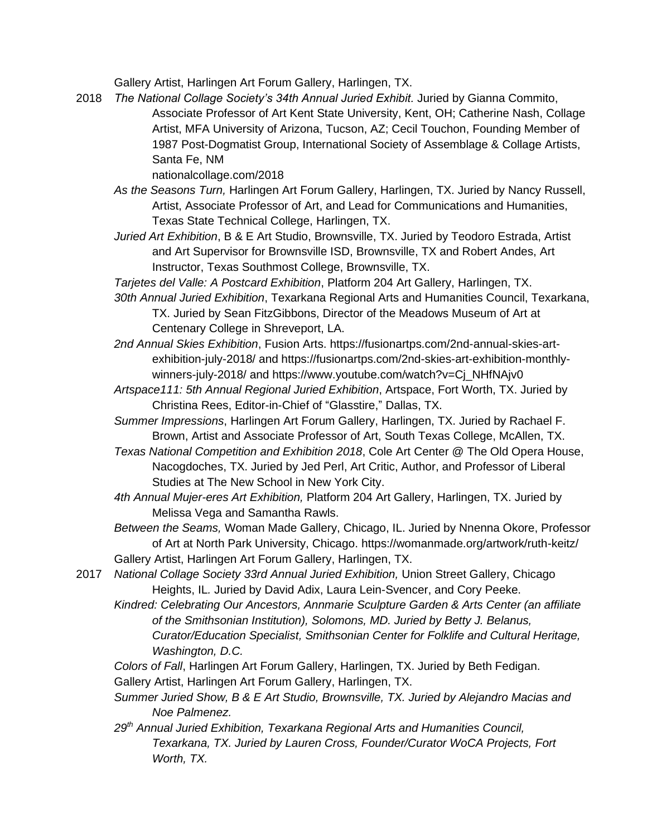Gallery Artist, Harlingen Art Forum Gallery, Harlingen, TX.

2018 *The National Collage Society's 34th Annual Juried Exhibit.* Juried by Gianna Commito, Associate Professor of Art Kent State University, Kent, OH; Catherine Nash, Collage Artist, MFA University of Arizona, Tucson, AZ; Cecil Touchon, Founding Member of 1987 Post-Dogmatist Group, International Society of Assemblage & Collage Artists, Santa Fe, NM

nationalcollage.com/2018

- *As the Seasons Turn,* Harlingen Art Forum Gallery, Harlingen, TX. Juried by Nancy Russell, Artist, Associate Professor of Art, and Lead for Communications and Humanities, Texas State Technical College, Harlingen, TX.
- *Juried Art Exhibition*, B & E Art Studio, Brownsville, TX. Juried by Teodoro Estrada, Artist and Art Supervisor for Brownsville ISD, Brownsville, TX and Robert Andes, Art Instructor, Texas Southmost College, Brownsville, TX.
- *Tarjetes del Valle: A Postcard Exhibition*, Platform 204 Art Gallery, Harlingen, TX.
- *30th Annual Juried Exhibition*, Texarkana Regional Arts and Humanities Council, Texarkana, TX. Juried by Sean FitzGibbons, Director of the Meadows Museum of Art at Centenary College in Shreveport, LA.
- *2nd Annual Skies Exhibition*, Fusion Arts. https://fusionartps.com/2nd-annual-skies-artexhibition-july-2018/ and https://fusionartps.com/2nd-skies-art-exhibition-monthlywinners-july-2018/ and https://www.youtube.com/watch?v=Cj\_NHfNAjv0
- *Artspace111: 5th Annual Regional Juried Exhibition*, Artspace, Fort Worth, TX. Juried by Christina Rees, Editor-in-Chief of "Glasstire," Dallas, TX.
- *Summer Impressions*, Harlingen Art Forum Gallery, Harlingen, TX. Juried by Rachael F. Brown, Artist and Associate Professor of Art, South Texas College, McAllen, TX.
- *Texas National Competition and Exhibition 2018*, Cole Art Center @ The Old Opera House, Nacogdoches, TX. Juried by Jed Perl, Art Critic, Author, and Professor of Liberal Studies at The New School in New York City.
- *4th Annual Mujer-eres Art Exhibition,* Platform 204 Art Gallery, Harlingen, TX. Juried by Melissa Vega and Samantha Rawls.

*Between the Seams,* Woman Made Gallery, Chicago, IL. Juried by Nnenna Okore, Professor of Art at North Park University, Chicago. https://womanmade.org/artwork/ruth-keitz/ Gallery Artist, Harlingen Art Forum Gallery, Harlingen, TX.

2017 *National Collage Society 33rd Annual Juried Exhibition,* Union Street Gallery, Chicago Heights, IL*.* Juried by David Adix, Laura Lein-Svencer, and Cory Peeke.

*Kindred: Celebrating Our Ancestors, Annmarie Sculpture Garden & Arts Center (an affiliate of the Smithsonian Institution), Solomons, MD. Juried by Betty J. Belanus, Curator/Education Specialist, Smithsonian Center for Folklife and Cultural Heritage, Washington, D.C.*

*Colors of Fall*, Harlingen Art Forum Gallery, Harlingen, TX. Juried by Beth Fedigan. Gallery Artist, Harlingen Art Forum Gallery, Harlingen, TX.

- *Summer Juried Show, B & E Art Studio, Brownsville, TX. Juried by Alejandro Macias and Noe Palmenez.*
- *29th Annual Juried Exhibition, Texarkana Regional Arts and Humanities Council, Texarkana, TX. Juried by Lauren Cross, Founder/Curator WoCA Projects, Fort Worth, TX.*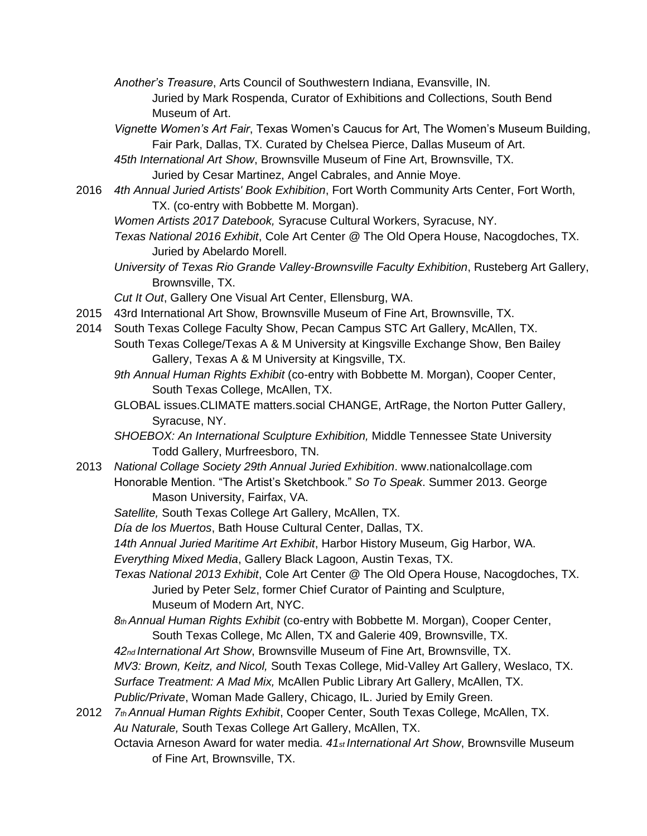- *Another's Treasure*, Arts Council of Southwestern Indiana, Evansville, IN. Juried by Mark Rospenda, Curator of Exhibitions and Collections, South Bend Museum of Art.
- *Vignette Women's Art Fair*, Texas Women's Caucus for Art, The Women's Museum Building, Fair Park, Dallas, TX. Curated by Chelsea Pierce, Dallas Museum of Art.
- *45th International Art Show*, Brownsville Museum of Fine Art, Brownsville, TX. Juried by Cesar Martinez, Angel Cabrales, and Annie Moye.
- 2016 *4th Annual Juried Artists' Book Exhibition*, Fort Worth Community Arts Center, Fort Worth, TX. (co-entry with Bobbette M. Morgan).
	- *Women Artists 2017 Datebook,* Syracuse Cultural Workers, Syracuse, NY.
	- *Texas National 2016 Exhibit*, Cole Art Center @ The Old Opera House, Nacogdoches, TX. Juried by Abelardo Morell.
	- *University of Texas Rio Grande Valley-Brownsville Faculty Exhibition*, Rusteberg Art Gallery, Brownsville, TX.

*Cut It Out*, Gallery One Visual Art Center, Ellensburg, WA.

- 2015 43rd International Art Show, Brownsville Museum of Fine Art, Brownsville, TX.
- 2014 South Texas College Faculty Show, Pecan Campus STC Art Gallery, McAllen, TX. South Texas College/Texas A & M University at Kingsville Exchange Show, Ben Bailey Gallery, Texas A & M University at Kingsville, TX.
	- *9th Annual Human Rights Exhibit* (co-entry with Bobbette M. Morgan), Cooper Center, South Texas College, McAllen, TX.
	- GLOBAL issues.CLIMATE matters.social CHANGE, ArtRage, the Norton Putter Gallery, Syracuse, NY.
	- *SHOEBOX: An International Sculpture Exhibition,* Middle Tennessee State University Todd Gallery, Murfreesboro, TN.
- 2013 *National Collage Society 29th Annual Juried Exhibition*. www.nationalcollage.com Honorable Mention. "The Artist's Sketchbook." *So To Speak*. Summer 2013. George Mason University, Fairfax, VA.
	- *Satellite,* South Texas College Art Gallery, McAllen, TX.
	- *Día de los Muertos*, Bath House Cultural Center, Dallas, TX.
	- *14th Annual Juried Maritime Art Exhibit*, Harbor History Museum, Gig Harbor, WA.

*Everything Mixed Media*, Gallery Black Lagoon, Austin Texas, TX.

- *Texas National 2013 Exhibit*, Cole Art Center @ The Old Opera House, Nacogdoches, TX. Juried by Peter Selz, former Chief Curator of Painting and Sculpture, Museum of Modern Art, NYC.
- *8th Annual Human Rights Exhibit* (co-entry with Bobbette M. Morgan), Cooper Center, South Texas College, Mc Allen, TX and Galerie 409, Brownsville, TX.
- *42nd International Art Show*, Brownsville Museum of Fine Art, Brownsville, TX.
- *MV3: Brown, Keitz, and Nicol,* South Texas College, Mid-Valley Art Gallery, Weslaco, TX.

*Surface Treatment: A Mad Mix,* McAllen Public Library Art Gallery, McAllen, TX.

*Public/Private*, Woman Made Gallery, Chicago, IL. Juried by Emily Green.

- 2012 *7th Annual Human Rights Exhibit*, Cooper Center, South Texas College, McAllen, TX. *Au Naturale,* South Texas College Art Gallery, McAllen, TX.
	- Octavia Arneson Award for water media. *41st International Art Show*, Brownsville Museum of Fine Art, Brownsville, TX.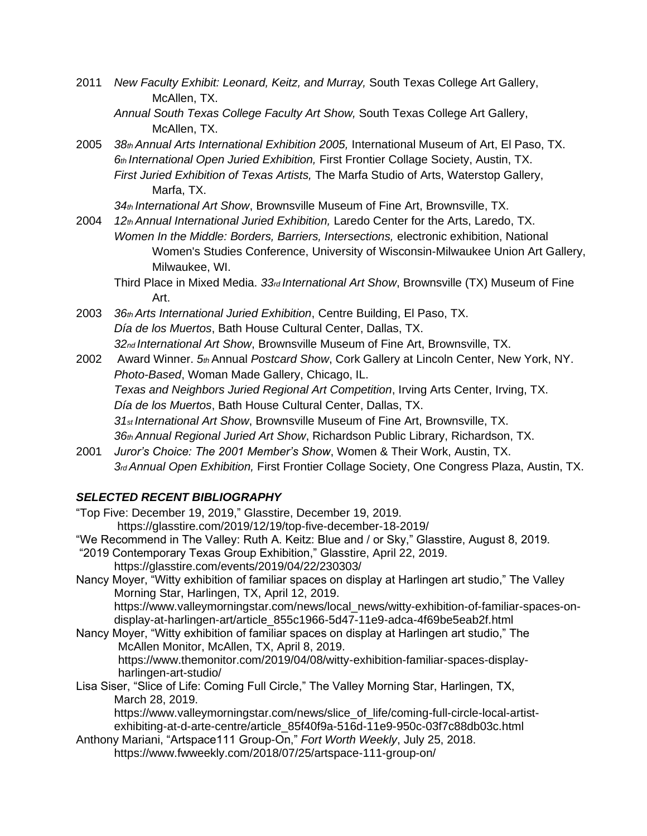- 2011 *New Faculty Exhibit: Leonard, Keitz, and Murray,* South Texas College Art Gallery, McAllen, TX.
	- *Annual South Texas College Faculty Art Show,* South Texas College Art Gallery, McAllen, TX.
- 2005 *38th Annual Arts International Exhibition 2005,* International Museum of Art, El Paso, TX. *6th International Open Juried Exhibition,* First Frontier Collage Society, Austin, TX. *First Juried Exhibition of Texas Artists,* The Marfa Studio of Arts, Waterstop Gallery, Marfa, TX.

*34th International Art Show*, Brownsville Museum of Fine Art, Brownsville, TX.

- 2004 *12th Annual International Juried Exhibition,* Laredo Center for the Arts, Laredo, TX. *Women In the Middle: Borders, Barriers, Intersections,* electronic exhibition, National Women's Studies Conference, University of Wisconsin-Milwaukee Union Art Gallery, Milwaukee, WI.
	- Third Place in Mixed Media. *33rd International Art Show*, Brownsville (TX) Museum of Fine Art.
- 2003 *36th Arts International Juried Exhibition*, Centre Building, El Paso, TX. *Día de los Muertos*, Bath House Cultural Center, Dallas, TX. *32nd International Art Show*, Brownsville Museum of Fine Art, Brownsville, TX.
- 2002 Award Winner. *5th* Annual *Postcard Show*, Cork Gallery at Lincoln Center, New York, NY. *Photo-Based*, Woman Made Gallery, Chicago, IL. *Texas and Neighbors Juried Regional Art Competition*, Irving Arts Center, Irving, TX. *Día de los Muertos*, Bath House Cultural Center, Dallas, TX. *31st International Art Show*, Brownsville Museum of Fine Art, Brownsville, TX. *36th Annual Regional Juried Art Show*, Richardson Public Library, Richardson, TX.
- 2001 *Juror's Choice: The 2001 Member's Show*, Women & Their Work, Austin, TX. *3rd Annual Open Exhibition,* First Frontier Collage Society, One Congress Plaza, Austin, TX.

# *SELECTED RECENT BIBLIOGRAPHY*

- "Top Five: December 19, 2019," Glasstire, December 19, 2019. https://glasstire.com/2019/12/19/top-five-december-18-2019/
- "We Recommend in The Valley: Ruth A. Keitz: Blue and / or Sky," Glasstire, August 8, 2019. "2019 Contemporary Texas Group Exhibition," Glasstire, April 22, 2019. https://glasstire.com/events/2019/04/22/230303/

Nancy Moyer, "Witty exhibition of familiar spaces on display at Harlingen art studio," The Valley Morning Star, Harlingen, TX, April 12, 2019. https://www.valleymorningstar.com/news/local\_news/witty-exhibition-of-familiar-spaces-ondisplay-at-harlingen-art/article\_855c1966-5d47-11e9-adca-4f69be5eab2f.html

- Nancy Moyer, "Witty exhibition of familiar spaces on display at Harlingen art studio," The McAllen Monitor, McAllen, TX, April 8, 2019. https://www.themonitor.com/2019/04/08/witty-exhibition-familiar-spaces-display harlingen-art-studio/
- Lisa Siser, "Slice of Life: Coming Full Circle," The Valley Morning Star, Harlingen, TX, March 28, 2019.

https://www.valleymorningstar.com/news/slice\_of\_life/coming-full-circle-local-artistexhibiting-at-d-arte-centre/article\_85f40f9a-516d-11e9-950c-03f7c88db03c.html

Anthony Mariani, "Artspace111 Group-On," *Fort Worth Weekly*, July 25, 2018. https://www.fwweekly.com/2018/07/25/artspace-111-group-on/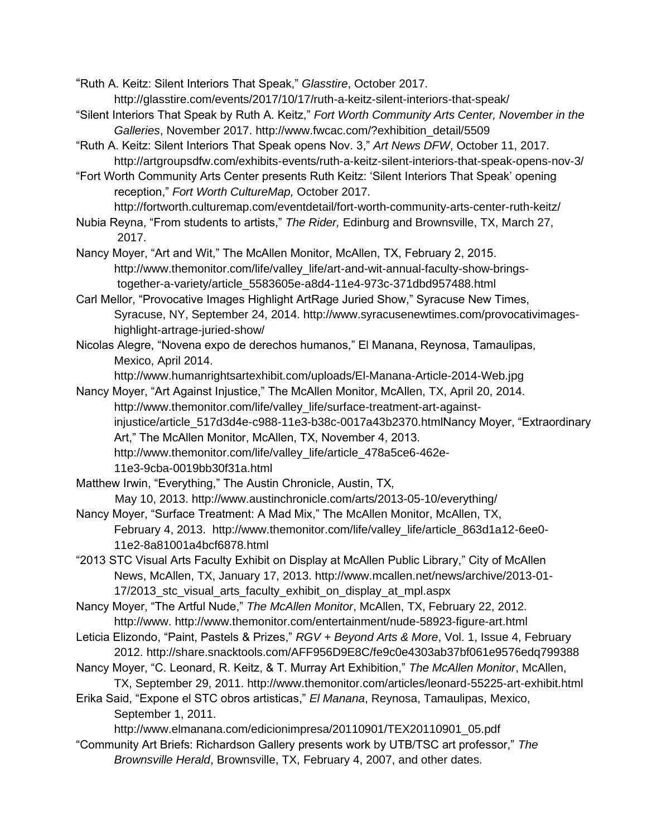"Ruth A. Keitz: Silent Interiors That Speak," *Glasstire*, October 2017. http://glasstire.com/events/2017/10/17/ruth-a-keitz-silent-interiors-that-speak/

- "Silent Interiors That Speak by Ruth A. Keitz," *Fort Worth Community Arts Center, November in the Galleries*, November 2017. http://www.fwcac.com/?exhibition\_detail/5509
- "Ruth A. Keitz: Silent Interiors That Speak opens Nov. 3," *Art News DFW*, October 11, 2017. http://artgroupsdfw.com/exhibits-events/ruth-a-keitz-silent-interiors-that-speak-opens-nov-3/

"Fort Worth Community Arts Center presents Ruth Keitz: 'Silent Interiors That Speak' opening reception," *Fort Worth CultureMap,* October 2017.

http://fortworth.culturemap.com/eventdetail/fort-worth-community-arts-center-ruth-keitz/ Nubia Reyna, "From students to artists," *The Rider,* Edinburg and Brownsville, TX, March 27,

2017. Nancy Moyer, "Art and Wit," The McAllen Monitor, McAllen, TX, February 2, 2015. http://www.themonitor.com/life/valley\_life/art-and-wit-annual-faculty-show-brings together-a-variety/article\_5583605e-a8d4-11e4-973c-371dbd957488.html

Carl Mellor, "Provocative Images Highlight ArtRage Juried Show," Syracuse New Times, Syracuse, NY, September 24, 2014. http://www.syracusenewtimes.com/provocativimages highlight-artrage-juried-show/

Nicolas Alegre, "Novena expo de derechos humanos," El Manana, Reynosa, Tamaulipas, Mexico, April 2014.

http://www.humanrightsartexhibit.com/uploads/El-Manana-Article-2014-Web.jpg

- Nancy Moyer, "Art Against Injustice," The McAllen Monitor, McAllen, TX, April 20, 2014. http://www.themonitor.com/life/valley\_life/surface-treatment-art-againstinjustice/article\_517d3d4e-c988-11e3-b38c-0017a43b2370.htmlNancy Moyer, "Extraordinary Art," The McAllen Monitor, McAllen, TX, November 4, 2013. http://www.themonitor.com/life/valley\_life/article\_478a5ce6-462e-11e3-9cba-0019bb30f31a.html
- Matthew Irwin, "Everything," The Austin Chronicle, Austin, TX, May 10, 2013. http://www.austinchronicle.com/arts/2013-05-10/everything/
- Nancy Moyer, "Surface Treatment: A Mad Mix," The McAllen Monitor, McAllen, TX, February 4, 2013. http://www.themonitor.com/life/valley\_life/article\_863d1a12-6ee0- 11e2-8a81001a4bcf6878.html
- "2013 STC Visual Arts Faculty Exhibit on Display at McAllen Public Library," City of McAllen News, McAllen, TX, January 17, 2013. http://www.mcallen.net/news/archive/2013-01- 17/2013\_stc\_visual\_arts\_faculty\_exhibit\_on\_display\_at\_mpl.aspx

Nancy Moyer, "The Artful Nude," *The McAllen Monitor*, McAllen, TX, February 22, 2012. http://www. http://www.themonitor.com/entertainment/nude-58923-figure-art.html

- Leticia Elizondo, "Paint, Pastels & Prizes," *RGV + Beyond Arts & More*, Vol. 1, Issue 4, February 2012. http://share.snacktools.com/AFF956D9E8C/fe9c0e4303ab37bf061e9576edq799388
- Nancy Moyer, "C. Leonard, R. Keitz, & T. Murray Art Exhibition," *The McAllen Monitor*, McAllen, TX, September 29, 2011. http://www.themonitor.com/articles/leonard-55225-art-exhibit.html
- Erika Said, "Expone el STC obros artisticas," *El Manana*, Reynosa, Tamaulipas, Mexico, September 1, 2011.

http://www.elmanana.com/edicionimpresa/20110901/TEX20110901\_05.pdf

"Community Art Briefs: Richardson Gallery presents work by UTB/TSC art professor," *The Brownsville Herald*, Brownsville, TX, February 4, 2007, and other dates.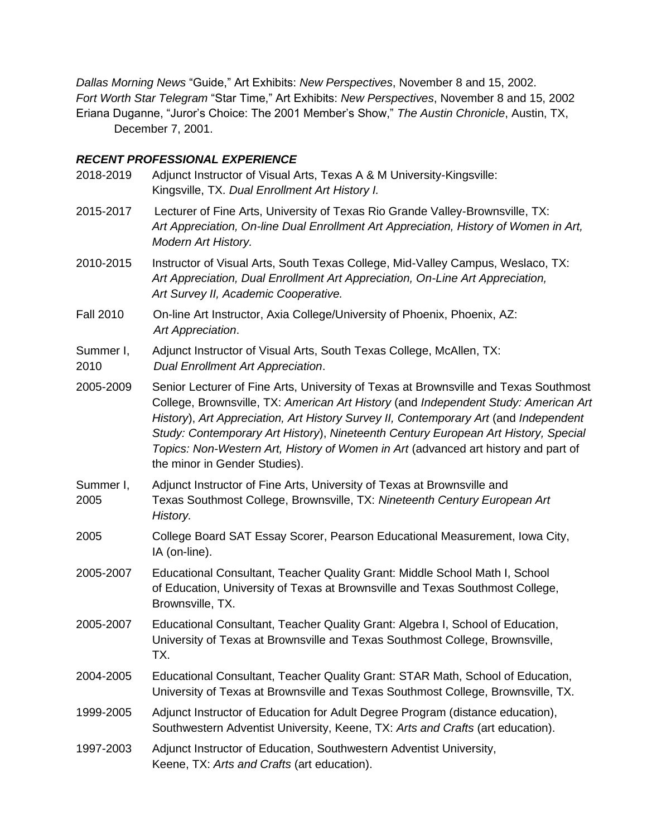*Dallas Morning News* "Guide," Art Exhibits: *New Perspectives*, November 8 and 15, 2002. *Fort Worth Star Telegram* "Star Time," Art Exhibits: *New Perspectives*, November 8 and 15, 2002 Eriana Duganne, "Juror's Choice: The 2001 Member's Show," *The Austin Chronicle*, Austin, TX, December 7, 2001.

#### *RECENT PROFESSIONAL EXPERIENCE*

- 2018-2019 Adjunct Instructor of Visual Arts, Texas A & M University-Kingsville: Kingsville, TX. *Dual Enrollment Art History I.*
- 2015-2017 Lecturer of Fine Arts, University of Texas Rio Grande Valley-Brownsville, TX: *Art Appreciation, On-line Dual Enrollment Art Appreciation, History of Women in Art, Modern Art History.*
- 2010-2015 Instructor of Visual Arts, South Texas College, Mid-Valley Campus, Weslaco, TX: *Art Appreciation, Dual Enrollment Art Appreciation, On-Line Art Appreciation, Art Survey II, Academic Cooperative.*
- Fall 2010 On-line Art Instructor, Axia College/University of Phoenix, Phoenix, AZ:  *Art Appreciation*.
- Summer I, Adjunct Instructor of Visual Arts, South Texas College, McAllen, TX: 2010 *Dual Enrollment Art Appreciation*.

2005-2009 Senior Lecturer of Fine Arts, University of Texas at Brownsville and Texas Southmost College, Brownsville, TX: *American Art History* (and *Independent Study: American Art History*), *Art Appreciation, Art History Survey II, Contemporary Art* (and *Independent Study: Contemporary Art History*), *Nineteenth Century European Art History, Special Topics: Non-Western Art, History of Women in Art* (advanced art history and part of the minor in Gender Studies).

- Summer I, Adjunct Instructor of Fine Arts, University of Texas at Brownsville and 2005 Texas Southmost College, Brownsville, TX: *Nineteenth Century European Art History.*
- 2005 College Board SAT Essay Scorer, Pearson Educational Measurement, Iowa City, IA (on-line).
- 2005-2007 Educational Consultant, Teacher Quality Grant: Middle School Math I, School of Education, University of Texas at Brownsville and Texas Southmost College, Brownsville, TX.
- 2005-2007 Educational Consultant, Teacher Quality Grant: Algebra I, School of Education, University of Texas at Brownsville and Texas Southmost College, Brownsville, TX.
- 2004-2005 Educational Consultant, Teacher Quality Grant: STAR Math, School of Education, University of Texas at Brownsville and Texas Southmost College, Brownsville, TX.
- 1999-2005 Adjunct Instructor of Education for Adult Degree Program (distance education), Southwestern Adventist University, Keene, TX: *Arts and Crafts* (art education).
- 1997-2003 Adjunct Instructor of Education, Southwestern Adventist University, Keene, TX: *Arts and Crafts* (art education).